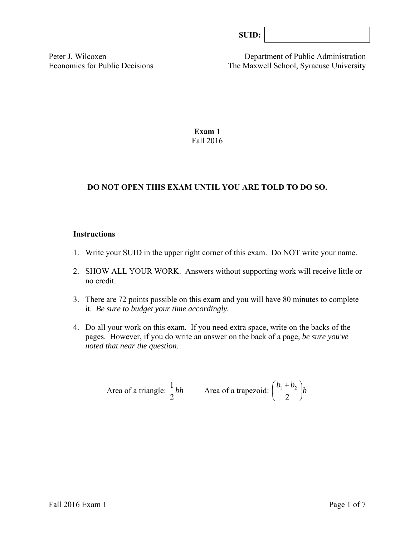| SUID: |  |
|-------|--|
|-------|--|

Peter J. Wilcoxen Department of Public Administration Economics for Public Decisions The Maxwell School, Syracuse University

> **Exam 1**  Fall 2016

## **DO NOT OPEN THIS EXAM UNTIL YOU ARE TOLD TO DO SO.**

#### **Instructions**

- 1. Write your SUID in the upper right corner of this exam. Do NOT write your name.
- 2. SHOW ALL YOUR WORK. Answers without supporting work will receive little or no credit.
- 3. There are 72 points possible on this exam and you will have 80 minutes to complete it. *Be sure to budget your time accordingly.*
- 4. Do all your work on this exam. If you need extra space, write on the backs of the pages. However, if you do write an answer on the back of a page, *be sure you've noted that near the question*.

Area of a triangle: 
$$
\frac{1}{2}bh
$$
 Area of a trapezoid:  $\left(\frac{b_1 + b_2}{2}\right)h$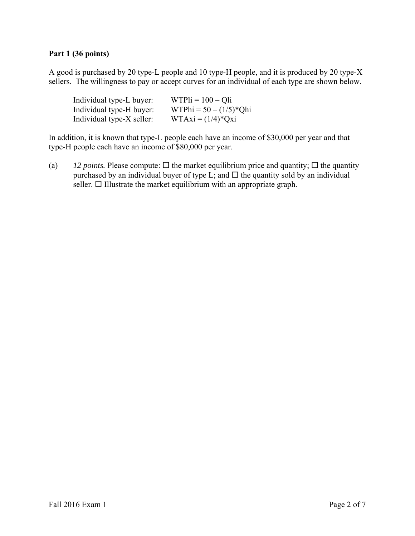# **Part 1 (36 points)**

A good is purchased by 20 type-L people and 10 type-H people, and it is produced by 20 type-X sellers. The willingness to pay or accept curves for an individual of each type are shown below.

| Individual type-L buyer:  | $WTPi = 100 - Qli$        |
|---------------------------|---------------------------|
| Individual type-H buyer:  | WTPhi = $50 - (1/5)*Q$ hi |
| Individual type-X seller: | $WTAxi = (1/4)*Qxi$       |

In addition, it is known that type-L people each have an income of \$30,000 per year and that type-H people each have an income of \$80,000 per year.

(a) *12 points.* Please compute:  $\Box$  the market equilibrium price and quantity;  $\Box$  the quantity purchased by an individual buyer of type L; and  $\Box$  the quantity sold by an individual seller.  $\Box$  Illustrate the market equilibrium with an appropriate graph.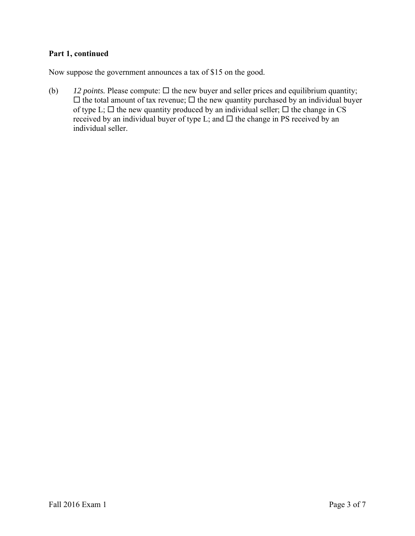# **Part 1, continued**

Now suppose the government announces a tax of \$15 on the good.

(b)  $12 \text{ points. Please compute: } \Box$  the new buyer and seller prices and equilibrium quantity;  $\Box$  the total amount of tax revenue;  $\Box$  the new quantity purchased by an individual buyer of type L;  $\Box$  the new quantity produced by an individual seller;  $\Box$  the change in CS received by an individual buyer of type L; and  $\Box$  the change in PS received by an individual seller.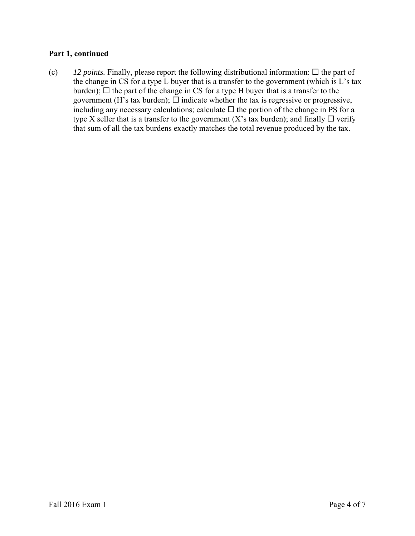# **Part 1, continued**

(c)  $12$  *points.* Finally, please report the following distributional information:  $\Box$  the part of the change in CS for a type L buyer that is a transfer to the government (which is L's tax burden);  $\Box$  the part of the change in CS for a type H buyer that is a transfer to the government (H's tax burden);  $\Box$  indicate whether the tax is regressive or progressive, including any necessary calculations; calculate  $\Box$  the portion of the change in PS for a type X seller that is a transfer to the government (X's tax burden); and finally  $\Box$  verify that sum of all the tax burdens exactly matches the total revenue produced by the tax.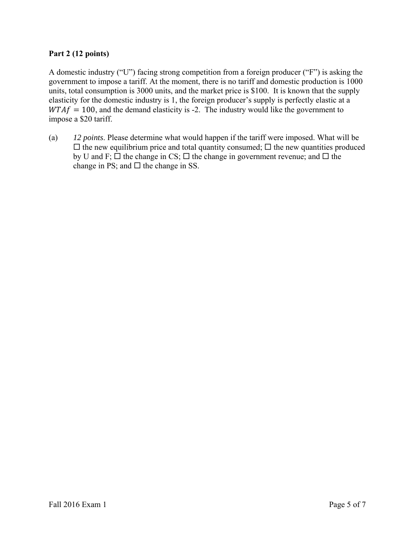# **Part 2 (12 points)**

A domestic industry ("U") facing strong competition from a foreign producer ("F") is asking the government to impose a tariff. At the moment, there is no tariff and domestic production is 1000 units, total consumption is 3000 units, and the market price is \$100. It is known that the supply elasticity for the domestic industry is 1, the foreign producer's supply is perfectly elastic at a  $WTAf = 100$ , and the demand elasticity is -2. The industry would like the government to impose a \$20 tariff.

(a) *12 points*. Please determine what would happen if the tariff were imposed. What will be  $\Box$  the new equilibrium price and total quantity consumed;  $\Box$  the new quantities produced by U and F;  $\Box$  the change in CS;  $\Box$  the change in government revenue; and  $\Box$  the change in PS; and  $\Box$  the change in SS.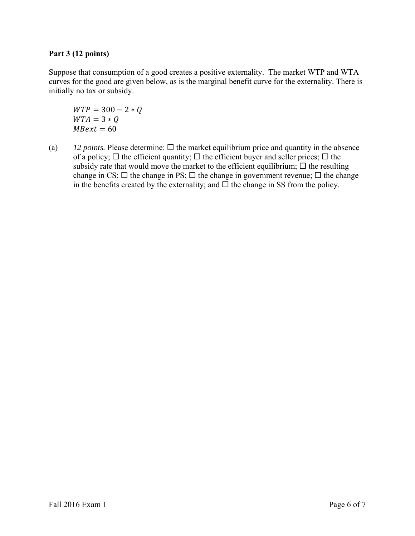## **Part 3 (12 points)**

Suppose that consumption of a good creates a positive externality. The market WTP and WTA curves for the good are given below, as is the marginal benefit curve for the externality. There is initially no tax or subsidy.

 $WTP = 300 - 2 * Q$  $WTA = 3 * Q$  $M$ Bext = 60

(a)  $12$  *points.* Please determine:  $\Box$  the market equilibrium price and quantity in the absence of a policy;  $\Box$  the efficient quantity;  $\Box$  the efficient buyer and seller prices;  $\Box$  the subsidy rate that would move the market to the efficient equilibrium;  $\Box$  the resulting change in CS;  $\Box$  the change in PS;  $\Box$  the change in government revenue;  $\Box$  the change in the benefits created by the externality; and  $\Box$  the change in SS from the policy.